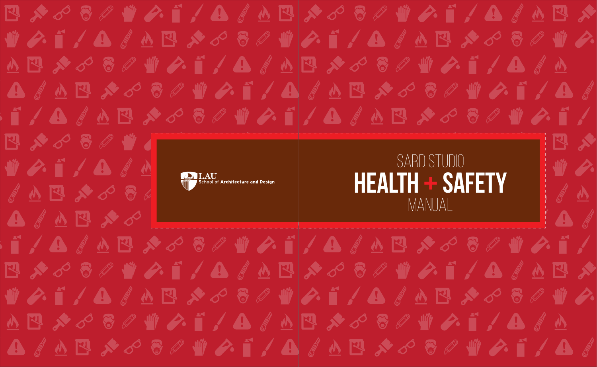**四メダラタ业クーノ合《丛巴メダラタ业クーノ合《丛巴メ** WAI / BI A E X O S I WAI / BI A E X O S I WA <u> ለ</u> E *አ ሪ* & *&* \ \ A { ^ E \* ሪ & # \ A { ^ B } **A I A E X S & W & T / A I A E X S & W & T / A I** T/A & A B & S & W & T / A & A B & S & W & T / 四大心各乡州有  $\mathbb{R}$ SARD STUDIO WAI/BAN  $\mathbb{I}$  with  $\mathscr{D}$ . **Health + Safety** ' School of <mark>Architecture and Desigr</mark> AND XOSA AN ManualA A A E X O **A 四メダラタ业クイム鱼(A E X ダラタ业クイノム(A E X** WAF / A / A E & S & WAF / A / A E & S & WA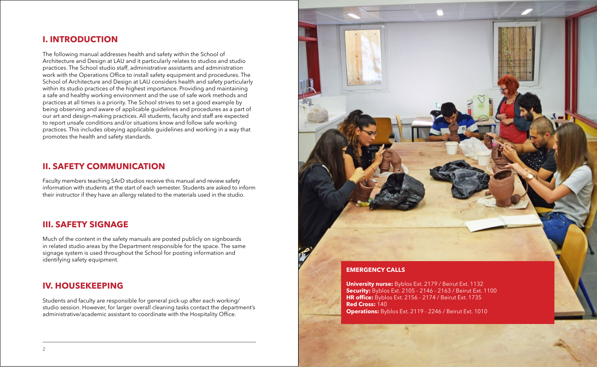### **I. IntrOdUctIOn**

The following manual addresses health and safety within the School of Architecture and Design at LAU and it particularly relates to studios and studio practices. The School studio staff, administrative assistants and administration work with the Operations Office to install safety equipment and procedures. The School of Architecture and Design at LAU considers health and safety particularly within its studio practices of the highest importance. Providing and maintaining a safe and healthy working environment and the use of safe work methods and practices at all times is a priority. The School strives to set a good example by being observing and aware of applicable guidelines and procedures as a part of our art and design-making practices. All students, faculty and staff are expected to report unsafe conditions and/or situations know and follow safe working practices. This includes obeying applicable guidelines and working in a way that promotes the health and safety standards.

# **II. safEty cOmmUnIcatIOn**

Faculty members teaching SArD studios receive this manual and review safety information with students at the start of each semester. Students are asked to inform their instructor if they have an allergy related to the materials used in the studio.

# **III. safEty sIgnagE**

Much of the content in the safety manuals are posted publicly on signboards in related studio areas by the Department responsible for the space. The same signage system is used throughout the School for posting information and identifying safety equipment.

# **IV. HOUsEkEEpIng**

Students and faculty are responsible for general pick-up after each working/ studio session. However, for larger overall cleaning tasks contact the department's administrative/academic assistant to coordinate with the Hospitality Office.



**University nurse:** Byblos Ext. 2179 / Beirut Ext. 1132 **security:** Byblos Ext. 2105 - 2146 - 2163 / Beirut Ext. 1100 **HR office:** Byblos Ext. 2156 - 2174 / Beirut Ext. 1735 **red cross:** 140 **Operations:** Byblos Ext. 2119 - 2246 / Beirut Ext. 1010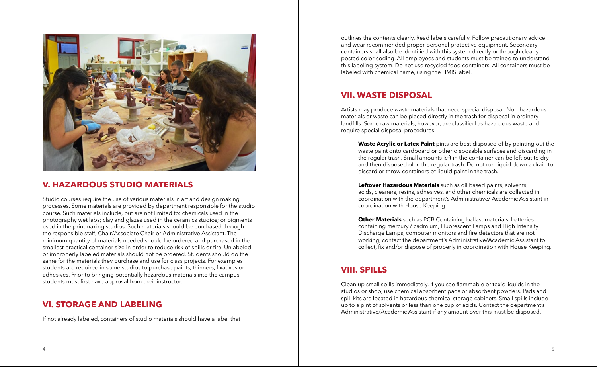

#### **V. HazardOUs stUdIO matErIals**

Studio courses require the use of various materials in art and design making processes. Some materials are provided by department responsible for the studio course. Such materials include, but are not limited to: chemicals used in the photography wet labs; clay and glazes used in the ceramics studios; or pigments used in the printmaking studios. Such materials should be purchased through the responsible staff, Chair/Associate Chair or Administrative Assistant. The minimum quantity of materials needed should be ordered and purchased in the smallest practical container size in order to reduce risk of spills or fire. Unlabeled or improperly labeled materials should not be ordered. Students should do the same for the materials they purchase and use for class projects. For examples students are required in some studios to purchase paints, thinners, fixatives or adhesives. Prior to bringing potentially hazardous materials into the campus, students must first have approval from their instructor.

#### **VI. stOragE and labElIng**

If not already labeled, containers of studio materials should have a label that

outlines the contents clearly. Read labels carefully. Follow precautionary advice and wear recommended proper personal protective equipment. Secondary containers shall also be identified with this system directly or through clearly posted color-coding. All employees and students must be trained to understand this labeling system. Do not use recycled food containers. All containers must be labeled with chemical name, using the HMIS label.

# **VII. WastE dIspOsal**

Artists may produce waste materials that need special disposal. Non-hazardous materials or waste can be placed directly in the trash for disposal in ordinary landfills. Some raw materials, however, are classified as hazardous waste and require special disposal procedures.

**Waste Acrylic or Latex Paint** pints are best disposed of by painting out the waste paint onto cardboard or other disposable surfaces and discarding in the regular trash. Small amounts left in the container can be left out to dry and then disposed of in the regular trash. Do not run liquid down a drain to discard or throw containers of liquid paint in the trash.

**leftover Hazardous materials** such as oil based paints, solvents, acids, cleaners, resins, adhesives, and other chemicals are collected in coordination with the department's Administrative/ Academic Assistant in coordination with House Keeping.

**Other Materials** such as PCB Containing ballast materials, batteries containing mercury / cadmium, Fluorescent Lamps and High Intensity Discharge Lamps, computer monitors and fire detectors that are not working, contact the department's Administrative/Academic Assistant to collect, fix and/or dispose of properly in coordination with House Keeping.

# **VIII. spIlls**

Clean up small spills immediately. If you see flammable or toxic liquids in the studios or shop, use chemical absorbent pads or absorbent powders. Pads and spill kits are located in hazardous chemical storage cabinets. Small spills include up to a pint of solvents or less than one cup of acids. Contact the department's Administrative/Academic Assistant if any amount over this must be disposed.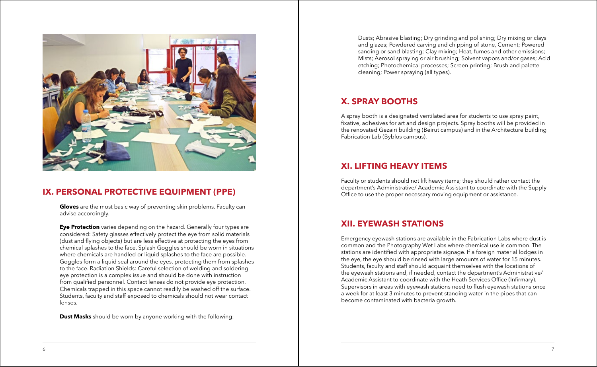

# **IX. PERSONAL PROTECTIVE EQUIPMENT (PPE)**

**gloves** are the most basic way of preventing skin problems. Faculty can advise accordingly.

**Eye Protection** varies depending on the hazard. Generally four types are considered: Safety glasses effectively protect the eye from solid materials (dust and flying objects) but are less effective at protecting the eyes from chemical splashes to the face. Splash Goggles should be worn in situations where chemicals are handled or liquid splashes to the face are possible. Goggles form a liquid seal around the eyes, protecting them from splashes to the face. Radiation Shields: Careful selection of welding and soldering eye protection is a complex issue and should be done with instruction from qualified personnel. Contact lenses do not provide eye protection. Chemicals trapped in this space cannot readily be washed off the surface. Students, faculty and staff exposed to chemicals should not wear contact lenses.

**Dust Masks** should be worn by anyone working with the following:

Dusts; Abrasive blasting; Dry grinding and polishing; Dry mixing or clays and glazes; Powdered carving and chipping of stone, Cement; Powered sanding or sand blasting; Clay mixing; Heat, fumes and other emissions; Mists; Aerosol spraying or air brushing; Solvent vapors and/or gases; Acid etching; Photochemical processes; Screen printing; Brush and palette cleaning; Power spraying (all types).

#### **X. spray bOOtHs**

A spray booth is a designated ventilated area for students to use spray paint, fixative, adhesives for art and design projects. Spray booths will be provided in the renovated Gezairi building (Beirut campus) and in the Architecture building Fabrication Lab (Byblos campus).

### **XI. lIftIng HEaVy ItEms**

Faculty or students should not lift heavy items; they should rather contact the department's Administrative/ Academic Assistant to coordinate with the Supply Office to use the proper necessary moving equipment or assistance.

# **XII. EyEWasH statIOns**

Emergency eyewash stations are available in the Fabrication Labs where dust is common and the Photography Wet Labs where chemical use is common. The stations are identified with appropriate signage. If a foreign material lodges in the eye, the eye should be rinsed with large amounts of water for 15 minutes. Students, faculty and staff should acquaint themselves with the locations of the eyewash stations and, if needed, contact the department's Administrative/ Academic Assistant to coordinate with the Heath Services Office (Infirmary). Supervisors in areas with eyewash stations need to flush eyewash stations once a week for at least 3 minutes to prevent standing water in the pipes that can become contaminated with bacteria growth.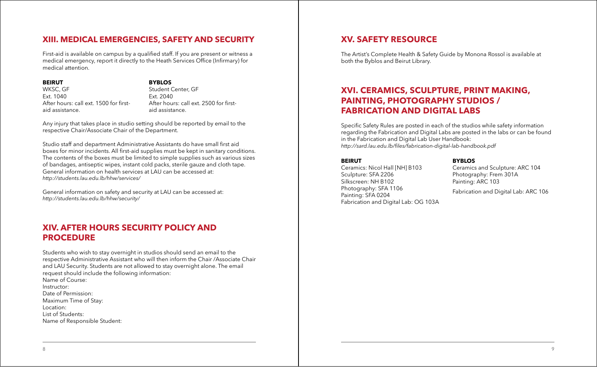# **XIII. mEdIcal EmErgEncIEs, safEty and sEcUrIty**

First-aid is available on campus by a qualified staff. If you are present or witness a medical emergency, report it directly to the Heath Services Office (Infirmary) for medical attention.

#### **bEIrUt**

#### **byblOs**

WKSC, GF Ext. 1040 After hours: call ext. 1500 for firstaid assistance.

Student Center, GF Ext. 2040 After hours: call ext. 2500 for firstaid assistance.

Any injury that takes place in studio setting should be reported by email to the respective Chair/Associate Chair of the Department.

Studio staff and department Administrative Assistants do have small first aid boxes for minor incidents. All first-aid supplies must be kept in sanitary conditions. The contents of the boxes must be limited to simple supplies such as various sizes of bandages, antiseptic wipes, instant cold packs, sterile gauze and cloth tape. General information on health services at LAU can be accessed at: *http://students.lau.edu.lb/hhw/services/*

General information on safety and security at LAU can be accessed at: *http://students.lau.edu.lb/hhw/security/*

# **XIV. aftEr HOUrs sEcUrIty pOlIcy and prOcEdUrE**

Students who wish to stay overnight in studios should send an email to the respective Administrative Assistant who will then inform the Chair /Associate Chair and LAU Security. Students are not allowed to stay overnight alone. The email request should include the following information: Name of Course: Instructor: Date of Permission: Maximum Time of Stay: Location: List of Students: Name of Responsible Student:

### **XV. safEty rEsOUrcE**

The Artist's Complete Health & Safety Guide by Monona Rossol is available at both the Byblos and Beirut Library.

# **XVI. cEramIcs, scUlptUrE, prInt makIng, paIntIng, pHOtOgrapHy stUdIOs / FABRICATION AND DIGITAL LABS**

Specific Safety Rules are posted in each of the studios while safety information regarding the Fabrication and Digital Labs are posted in the labs or can be found in the Fabrication and Digital Lab User Handbook: http://sard.lau.edu.lb/files/fabrication-digital-lab-handbook.pdf

#### **bEIrUt**

Ceramics: Nicol Hall [NH] B103 Sculpture: SFA 2206 Silkscreen: NH B102 Photography: SFA 1106 Painting: SFA 0204 Fabrication and Digital Lab: OG 103A **byblOs**

Ceramics and Sculpture: ARC 104 Photography: Frem 301A Painting: ARC 103

Fabrication and Digital Lab: ARC 106